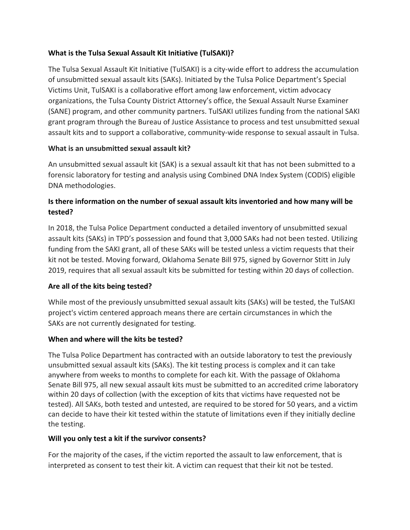## **What is the Tulsa Sexual Assault Kit Initiative (TulSAKI)?**

The Tulsa Sexual Assault Kit Initiative (TulSAKI) is a city‐wide effort to address the accumulation of unsubmitted sexual assault kits (SAKs). Initiated by the Tulsa Police Department's Special Victims Unit, TulSAKI is a collaborative effort among law enforcement, victim advocacy organizations, the Tulsa County District Attorney's office, the Sexual Assault Nurse Examiner (SANE) program, and other community partners. TulSAKI utilizes funding from the national SAKI grant program through the Bureau of Justice Assistance to process and test unsubmitted sexual assault kits and to support a collaborative, community‐wide response to sexual assault in Tulsa.

## **What is an unsubmitted sexual assault kit?**

An unsubmitted sexual assault kit (SAK) is a sexual assault kit that has not been submitted to a forensic laboratory for testing and analysis using Combined DNA Index System (CODIS) eligible DNA methodologies.

# **Is there information on the number of sexual assault kits inventoried and how many will be tested?**

In 2018, the Tulsa Police Department conducted a detailed inventory of unsubmitted sexual assault kits (SAKs) in TPD's possession and found that 3,000 SAKs had not been tested. Utilizing funding from the SAKI grant, all of these SAKs will be tested unless a victim requests that their kit not be tested. Moving forward, Oklahoma Senate Bill 975, signed by Governor Stitt in July 2019, requires that all sexual assault kits be submitted for testing within 20 days of collection.

# **Are all of the kits being tested?**

While most of the previously unsubmitted sexual assault kits (SAKs) will be tested, the TulSAKI project's victim centered approach means there are certain circumstances in which the SAKs are not currently designated for testing.

## **When and where will the kits be tested?**

The Tulsa Police Department has contracted with an outside laboratory to test the previously unsubmitted sexual assault kits (SAKs). The kit testing process is complex and it can take anywhere from weeks to months to complete for each kit. With the passage of Oklahoma Senate Bill 975, all new sexual assault kits must be submitted to an accredited crime laboratory within 20 days of collection (with the exception of kits that victims have requested not be tested). All SAKs, both tested and untested, are required to be stored for 50 years, and a victim can decide to have their kit tested within the statute of limitations even if they initially decline the testing.

## **Will you only test a kit if the survivor consents?**

For the majority of the cases, if the victim reported the assault to law enforcement, that is interpreted as consent to test their kit. A victim can request that their kit not be tested.